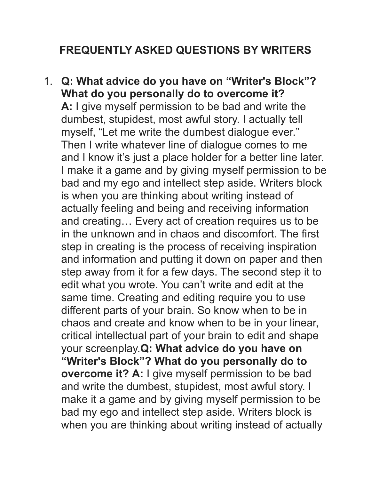## **FREQUENTLY ASKED QUESTIONS BY WRITERS**

1. **Q: What advice do you have on "Writer's Block"? What do you personally do to overcome it? A:** I give myself permission to be bad and write the dumbest, stupidest, most awful story. I actually tell myself, "Let me write the dumbest dialogue ever." Then I write whatever line of dialogue comes to me and I know it's just a place holder for a better line later. I make it a game and by giving myself permission to be bad and my ego and intellect step aside. Writers block is when you are thinking about writing instead of actually feeling and being and receiving information and creating… Every act of creation requires us to be in the unknown and in chaos and discomfort. The first step in creating is the process of receiving inspiration and information and putting it down on paper and then step away from it for a few days. The second step it to edit what you wrote. You can't write and edit at the same time. Creating and editing require you to use different parts of your brain. So know when to be in chaos and create and know when to be in your linear, critical intellectual part of your brain to edit and shape your screenplay.**Q: What advice do you have on "Writer's Block"? What do you personally do to overcome it? A:** I give myself permission to be bad and write the dumbest, stupidest, most awful story. I make it a game and by giving myself permission to be bad my ego and intellect step aside. Writers block is when you are thinking about writing instead of actually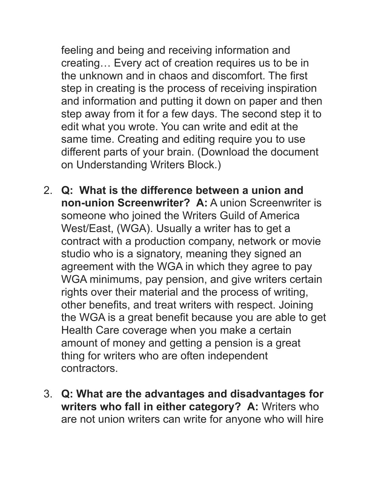feeling and being and receiving information and creating… Every act of creation requires us to be in the unknown and in chaos and discomfort. The first step in creating is the process of receiving inspiration and information and putting it down on paper and then step away from it for a few days. The second step it to edit what you wrote. You can write and edit at the same time. Creating and editing require you to use different parts of your brain. (Download the document on Understanding Writers Block.)

- 2. **Q: What is the difference between a union and non-union Screenwriter? A:** A union Screenwriter is someone who joined the Writers Guild of America West/East, (WGA). Usually a writer has to get a contract with a production company, network or movie studio who is a signatory, meaning they signed an agreement with the WGA in which they agree to pay WGA minimums, pay pension, and give writers certain rights over their material and the process of writing, other benefits, and treat writers with respect. Joining the WGA is a great benefit because you are able to get Health Care coverage when you make a certain amount of money and getting a pension is a great thing for writers who are often independent contractors.
- 3. **Q: What are the advantages and disadvantages for writers who fall in either category? A:** Writers who are not union writers can write for anyone who will hire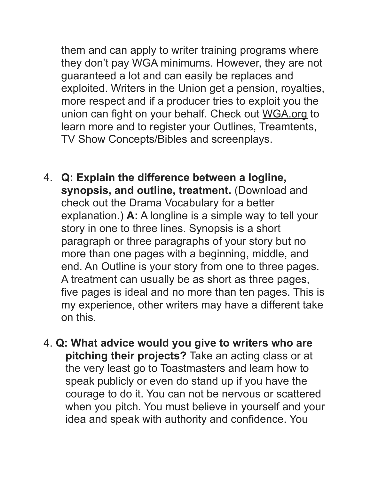them and can apply to writer training programs where they don't pay WGA minimums. However, they are not guaranteed a lot and can easily be replaces and exploited. Writers in the Union get a pension, royalties, more respect and if a producer tries to exploit you the union can fight on your behalf. Check out [WGA.org](http://WGA.org) to learn more and to register your Outlines, Treamtents, TV Show Concepts/Bibles and screenplays.

- 4. **Q: Explain the difference between a logline, synopsis, and outline, treatment.** (Download and check out the Drama Vocabulary for a better explanation.) **A:** A longline is a simple way to tell your story in one to three lines. Synopsis is a short paragraph or three paragraphs of your story but no more than one pages with a beginning, middle, and end. An Outline is your story from one to three pages. A treatment can usually be as short as three pages, five pages is ideal and no more than ten pages. This is my experience, other writers may have a different take on this.
- 4. **Q: What advice would you give to writers who are pitching their projects?** Take an acting class or at the very least go to Toastmasters and learn how to speak publicly or even do stand up if you have the courage to do it. You can not be nervous or scattered when you pitch. You must believe in yourself and your idea and speak with authority and confidence. You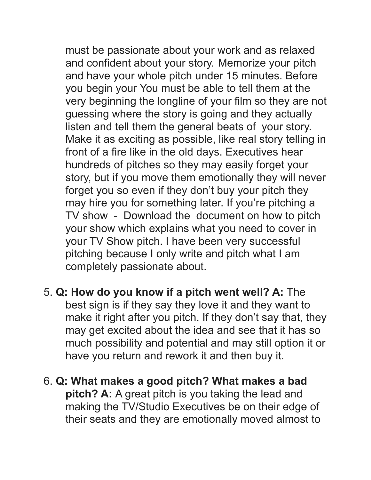must be passionate about your work and as relaxed and confident about your story. Memorize your pitch and have your whole pitch under 15 minutes. Before you begin your You must be able to tell them at the very beginning the longline of your film so they are not guessing where the story is going and they actually listen and tell them the general beats of your story. Make it as exciting as possible, like real story telling in front of a fire like in the old days. Executives hear hundreds of pitches so they may easily forget your story, but if you move them emotionally they will never forget you so even if they don't buy your pitch they may hire you for something later. If you're pitching a TV show - Download the document on how to pitch your show which explains what you need to cover in your TV Show pitch. I have been very successful pitching because I only write and pitch what I am completely passionate about.

- 5. **Q: How do you know if a pitch went well? A:** The best sign is if they say they love it and they want to make it right after you pitch. If they don't say that, they may get excited about the idea and see that it has so much possibility and potential and may still option it or have you return and rework it and then buy it.
- 6. **Q: What makes a good pitch? What makes a bad pitch? A:** A great pitch is you taking the lead and making the TV/Studio Executives be on their edge of their seats and they are emotionally moved almost to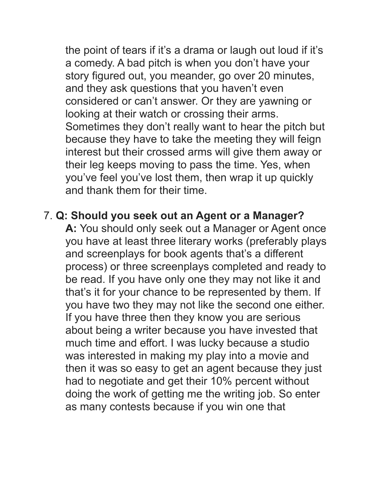the point of tears if it's a drama or laugh out loud if it's a comedy. A bad pitch is when you don't have your story figured out, you meander, go over 20 minutes, and they ask questions that you haven't even considered or can't answer. Or they are yawning or looking at their watch or crossing their arms. Sometimes they don't really want to hear the pitch but because they have to take the meeting they will feign interest but their crossed arms will give them away or their leg keeps moving to pass the time. Yes, when you've feel you've lost them, then wrap it up quickly and thank them for their time.

## 7. **Q: Should you seek out an Agent or a Manager?**

 **A:** You should only seek out a Manager or Agent once you have at least three literary works (preferably plays and screenplays for book agents that's a different process) or three screenplays completed and ready to be read. If you have only one they may not like it and that's it for your chance to be represented by them. If you have two they may not like the second one either. If you have three then they know you are serious about being a writer because you have invested that much time and effort. I was lucky because a studio was interested in making my play into a movie and then it was so easy to get an agent because they just had to negotiate and get their 10% percent without doing the work of getting me the writing job. So enter as many contests because if you win one that